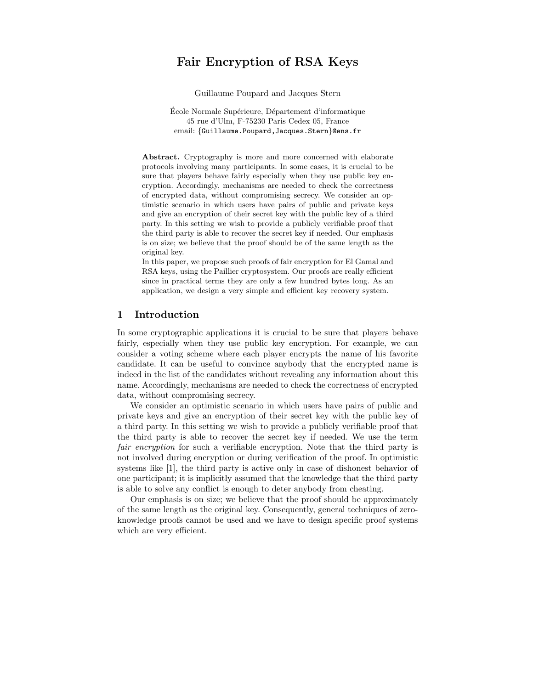# Fair Encryption of RSA Keys

Guillaume Poupard and Jacques Stern

École Normale Supérieure, Département d'informatique 45 rue d'Ulm, F-75230 Paris Cedex 05, France email: {Guillaume.Poupard, Jacques.Stern}@ens.fr

Abstract. Cryptography is more and more concerned with elaborate protocols involving many participants. In some cases, it is crucial to be sure that players behave fairly especially when they use public key encryption. Accordingly, mechanisms are needed to check the correctness of encrypted data, without compromising secrecy. We consider an optimistic scenario in which users have pairs of public and private keys and give an encryption of their secret key with the public key of a third party. In this setting we wish to provide a publicly verifiable proof that the third party is able to recover the secret key if needed. Our emphasis is on size; we believe that the proof should be of the same length as the original key.

In this paper, we propose such proofs of fair encryption for El Gamal and RSA keys, using the Paillier cryptosystem. Our proofs are really efficient since in practical terms they are only a few hundred bytes long. As an application, we design a very simple and efficient key recovery system.

### 1 Introduction

In some cryptographic applications it is crucial to be sure that players behave fairly, especially when they use public key encryption. For example, we can consider a voting scheme where each player encrypts the name of his favorite candidate. It can be useful to convince anybody that the encrypted name is indeed in the list of the candidates without revealing any information about this name. Accordingly, mechanisms are needed to check the correctness of encrypted data, without compromising secrecy.

We consider an optimistic scenario in which users have pairs of public and private keys and give an encryption of their secret key with the public key of a third party. In this setting we wish to provide a publicly verifiable proof that the third party is able to recover the secret key if needed. We use the term fair encryption for such a verifiable encryption. Note that the third party is not involved during encryption or during verification of the proof. In optimistic systems like [1], the third party is active only in case of dishonest behavior of one participant; it is implicitly assumed that the knowledge that the third party is able to solve any conflict is enough to deter anybody from cheating.

Our emphasis is on size; we believe that the proof should be approximately of the same length as the original key. Consequently, general techniques of zeroknowledge proofs cannot be used and we have to design specific proof systems which are very efficient.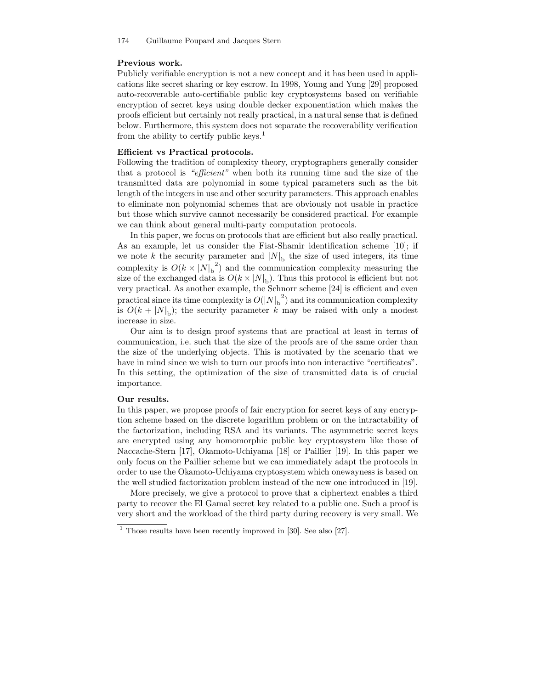#### Previous work.

Publicly verifiable encryption is not a new concept and it has been used in applications like secret sharing or key escrow. In 1998, Young and Yung [29] proposed auto-recoverable auto-certifiable public key cryptosystems based on verifiable encryption of secret keys using double decker exponentiation which makes the proofs efficient but certainly not really practical, in a natural sense that is defined below. Furthermore, this system does not separate the recoverability verification from the ability to certify public keys.<sup>1</sup>

### Efficient vs Practical protocols.

Following the tradition of complexity theory, cryptographers generally consider that a protocol is "efficient" when both its running time and the size of the transmitted data are polynomial in some typical parameters such as the bit length of the integers in use and other security parameters. This approach enables to eliminate non polynomial schemes that are obviously not usable in practice but those which survive cannot necessarily be considered practical. For example we can think about general multi-party computation protocols.

In this paper, we focus on protocols that are efficient but also really practical. As an example, let us consider the Fiat-Shamir identification scheme [10]; if we note k the security parameter and  $|N|_b$  the size of used integers, its time complexity is  $O(k \times |N|_b^2)$  and the communication complexity measuring the size of the exchanged data is  $O(k \times |N|_b)$ . Thus this protocol is efficient but not very practical. As another example, the Schnorr scheme [24] is efficient and even practical since its time complexity is  $O(|N|_b^2)$  and its communication complexity is  $O(k + |N|_b)$ ; the security parameter k may be raised with only a modest increase in size.

Our aim is to design proof systems that are practical at least in terms of communication, i.e. such that the size of the proofs are of the same order than the size of the underlying objects. This is motivated by the scenario that we have in mind since we wish to turn our proofs into non interactive "certificates". In this setting, the optimization of the size of transmitted data is of crucial importance.

#### Our results.

In this paper, we propose proofs of fair encryption for secret keys of any encryption scheme based on the discrete logarithm problem or on the intractability of the factorization, including RSA and its variants. The asymmetric secret keys are encrypted using any homomorphic public key cryptosystem like those of Naccache-Stern [17], Okamoto-Uchiyama [18] or Paillier [19]. In this paper we only focus on the Paillier scheme but we can immediately adapt the protocols in order to use the Okamoto-Uchiyama cryptosystem which onewayness is based on the well studied factorization problem instead of the new one introduced in [19].

More precisely, we give a protocol to prove that a ciphertext enables a third party to recover the El Gamal secret key related to a public one. Such a proof is very short and the workload of the third party during recovery is very small. We

 $1$  Those results have been recently improved in [30]. See also [27].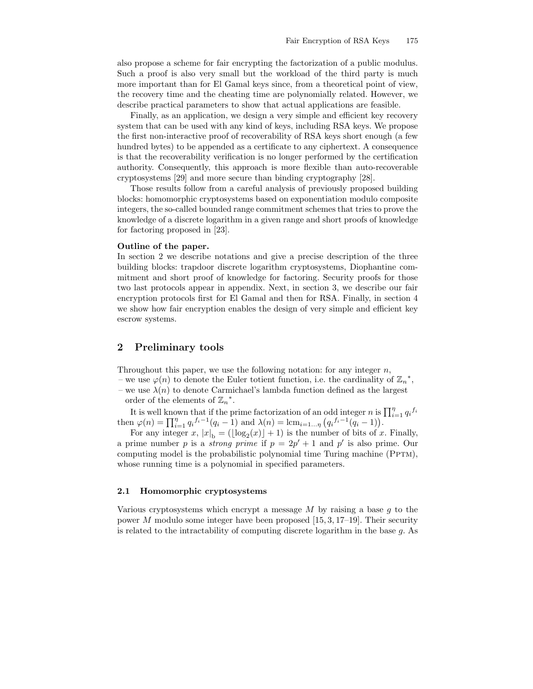also propose a scheme for fair encrypting the factorization of a public modulus. Such a proof is also very small but the workload of the third party is much more important than for El Gamal keys since, from a theoretical point of view, the recovery time and the cheating time are polynomially related. However, we describe practical parameters to show that actual applications are feasible.

Finally, as an application, we design a very simple and efficient key recovery system that can be used with any kind of keys, including RSA keys. We propose the first non-interactive proof of recoverability of RSA keys short enough (a few hundred bytes) to be appended as a certificate to any ciphertext. A consequence is that the recoverability verification is no longer performed by the certification authority. Consequently, this approach is more flexible than auto-recoverable cryptosystems [29] and more secure than binding cryptography [28].

Those results follow from a careful analysis of previously proposed building blocks: homomorphic cryptosystems based on exponentiation modulo composite integers, the so-called bounded range commitment schemes that tries to prove the knowledge of a discrete logarithm in a given range and short proofs of knowledge for factoring proposed in [23].

#### Outline of the paper.

In section 2 we describe notations and give a precise description of the three building blocks: trapdoor discrete logarithm cryptosystems, Diophantine commitment and short proof of knowledge for factoring. Security proofs for those two last protocols appear in appendix. Next, in section 3, we describe our fair encryption protocols first for El Gamal and then for RSA. Finally, in section 4 we show how fair encryption enables the design of very simple and efficient key escrow systems.

# 2 Preliminary tools

Throughout this paper, we use the following notation: for any integer  $n$ ,

– we use  $\varphi(n)$  to denote the Euler totient function, i.e. the cardinality of  $\mathbb{Z}_n^*$ , – we use  $\lambda(n)$  to denote Carmichael's lambda function defined as the largest

order of the elements of  $\mathbb{Z}_n^*$ .

It is well known that if the prime factorization of an odd integer n is  $\prod_{i=1}^{n} q_i^{f_i}$ then  $\varphi(n) = \prod_{i=1}^{n} q_i^{f_i-1}(q_i-1)$  and  $\lambda(n) = \text{lcm}_{i=1...n} (q_i^{f_i-1}(q_i-1)).$ 

For any integer x,  $|x|_b = (\lfloor \log_2(x) \rfloor + 1)$  is the number of bits of x. Finally, a prime number p is a *strong prime* if  $p = 2p' + 1$  and p' is also prime. Our computing model is the probabilistic polynomial time Turing machine (PPTM), whose running time is a polynomial in specified parameters.

#### 2.1 Homomorphic cryptosystems

Various cryptosystems which encrypt a message  $M$  by raising a base q to the power M modulo some integer have been proposed  $[15, 3, 17–19]$ . Their security is related to the intractability of computing discrete logarithm in the base  $q$ . As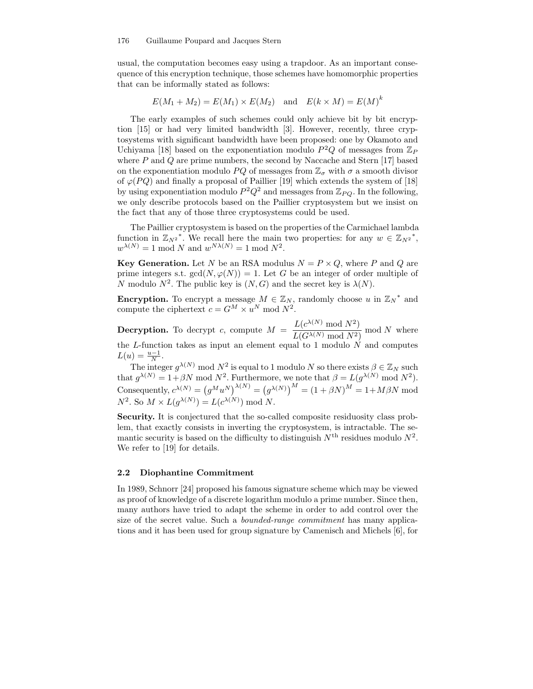usual, the computation becomes easy using a trapdoor. As an important consequence of this encryption technique, those schemes have homomorphic properties that can be informally stated as follows:

$$
E(M_1 + M_2) = E(M_1) \times E(M_2)
$$
 and  $E(k \times M) = E(M)^k$ 

The early examples of such schemes could only achieve bit by bit encryption [15] or had very limited bandwidth [3]. However, recently, three cryptosystems with significant bandwidth have been proposed: one by Okamoto and Uchiyama [18] based on the exponentiation modulo  $P^2Q$  of messages from  $\mathbb{Z}_P$ where  $P$  and  $Q$  are prime numbers, the second by Naccache and Stern [17] based on the exponentiation modulo PQ of messages from  $\mathbb{Z}_{\sigma}$  with  $\sigma$  a smooth divisor of  $\varphi(PQ)$  and finally a proposal of Paillier [19] which extends the system of [18] by using exponentiation modulo  $P^2Q^2$  and messages from  $\mathbb{Z}_{PQ}$ . In the following, we only describe protocols based on the Paillier cryptosystem but we insist on the fact that any of those three cryptosystems could be used.

The Paillier cryptosystem is based on the properties of the Carmichael lambda function in  $\mathbb{Z}_{N^2}^*$ . We recall here the main two properties: for any  $w \in \mathbb{Z}_{N^2}^*$ ,  $w^{\lambda(N)} = 1 \mod N$  and  $w^{N\lambda(N)} = 1 \mod N^2$ .

**Key Generation.** Let N be an RSA modulus  $N = P \times Q$ , where P and Q are prime integers s.t.  $gcd(N, \varphi(N)) = 1$ . Let G be an integer of order multiple of N modulo  $N^2$ . The public key is  $(N, G)$  and the secret key is  $\lambda(N)$ .

**Encryption.** To encrypt a message  $M \in \mathbb{Z}_N$ , randomly choose u in  $\mathbb{Z}_N^*$  and compute the ciphertext  $c = G^M \times u^N \text{ mod } N^2$ .

**Decryption.** To decrypt c, compute  $M = \frac{L(c^{\lambda(N)} \mod N^2)}{L(c^{\lambda(N)} - 1)N^2}$  $\frac{L(G^{\lambda(N)} \mod N^2)}{L(G^{\lambda(N)} \mod N^2)}$  mod N where the  $L$ -function takes as input an element equal to 1 modulo  $N$  and computes  $L(u) = \frac{u-1}{N}$ .

The integer  $g^{\lambda(N)}$  mod  $N^2$  is equal to 1 modulo N so there exists  $\beta \in \mathbb{Z}_N$  such  $\lambda(N)$ that  $g^{\lambda(N)} = 1 + \beta N \text{ mod } N^2$ . Furthermore, we note that  $\beta = L(g^{\lambda(N)} \text{ mod } N^2)$ . Consequently,  $c^{\lambda(N)} = (g^M u^N)^{\lambda(N)} = (g^{\lambda(N)})^M = (1 + \beta N)^M = 1 + M \beta N \text{ mod}$  $N^2$ . So  $M \times L(g^{\lambda(N)}) = L(c^{\lambda(N)}) \text{ mod } N$ .

Security. It is conjectured that the so-called composite residuosity class problem, that exactly consists in inverting the cryptosystem, is intractable. The semantic security is based on the difficulty to distinguish  $N<sup>th</sup>$  residues modulo  $N<sup>2</sup>$ . We refer to [19] for details.

### 2.2 Diophantine Commitment

In 1989, Schnorr [24] proposed his famous signature scheme which may be viewed as proof of knowledge of a discrete logarithm modulo a prime number. Since then, many authors have tried to adapt the scheme in order to add control over the size of the secret value. Such a bounded-range commitment has many applications and it has been used for group signature by Camenisch and Michels [6], for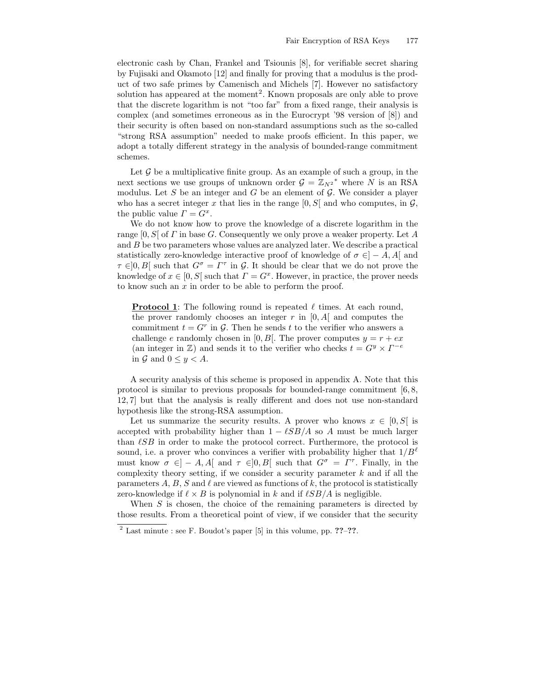electronic cash by Chan, Frankel and Tsiounis [8], for verifiable secret sharing by Fujisaki and Okamoto [12] and finally for proving that a modulus is the product of two safe primes by Camenisch and Michels [7]. However no satisfactory solution has appeared at the moment<sup>2</sup>. Known proposals are only able to prove that the discrete logarithm is not "too far" from a fixed range, their analysis is complex (and sometimes erroneous as in the Eurocrypt '98 version of [8]) and their security is often based on non-standard assumptions such as the so-called "strong RSA assumption" needed to make proofs efficient. In this paper, we adopt a totally different strategy in the analysis of bounded-range commitment schemes.

Let  $\mathcal G$  be a multiplicative finite group. As an example of such a group, in the next sections we use groups of unknown order  $\mathcal{G} = \mathbb{Z}_{N^2}^*$  where N is an RSA modulus. Let S be an integer and G be an element of  $\mathcal G$ . We consider a player who has a secret integer x that lies in the range  $[0, S]$  and who computes, in  $\mathcal{G}$ , the public value  $\Gamma = G^x$ .

We do not know how to prove the knowledge of a discrete logarithm in the range  $[0, S]$  of  $\Gamma$  in base G. Consequently we only prove a weaker property. Let  $A$ and B be two parameters whose values are analyzed later. We describe a practical statistically zero-knowledge interactive proof of knowledge of  $\sigma \in ]-A, A[$  and  $\tau \in ]0, B[$  such that  $G^{\sigma} = \Gamma^{\tau}$  in  $\mathcal{G}$ . It should be clear that we do not prove the knowledge of  $x \in [0, S]$  such that  $\Gamma = G^x$ . However, in practice, the prover needs to know such an  $x$  in order to be able to perform the proof.

**Protocol 1**: The following round is repeated  $\ell$  times. At each round, the prover randomly chooses an integer  $r$  in [0, A] and computes the commitment  $t = G^r$  in  $\mathcal{G}$ . Then he sends t to the verifier who answers a challenge e randomly chosen in [0, B]. The prover computes  $y = r + e x$ (an integer in  $\mathbb{Z}$ ) and sends it to the verifier who checks  $t = G^y \times \Gamma^{-e}$ in  $\mathcal G$  and  $0 \leq y < A$ .

A security analysis of this scheme is proposed in appendix A. Note that this protocol is similar to previous proposals for bounded-range commitment [6, 8, 12, 7] but that the analysis is really different and does not use non-standard hypothesis like the strong-RSA assumption.

Let us summarize the security results. A prover who knows  $x \in [0, S]$  is accepted with probability higher than  $1 - \ell SB/A$  so A must be much larger than  $\ell SB$  in order to make the protocol correct. Furthermore, the protocol is sound, i.e. a prover who convinces a verifier with probability higher that  $1/B^{\ell}$ must know  $\sigma \in ]-A, A[$  and  $\tau \in ]0, B[$  such that  $G^{\sigma} = \Gamma^{\tau}$ . Finally, in the complexity theory setting, if we consider a security parameter  $k$  and if all the parameters A, B, S and  $\ell$  are viewed as functions of k, the protocol is statistically zero-knowledge if  $\ell \times B$  is polynomial in k and if  $\ell SB/A$  is negligible.

When  $S$  is chosen, the choice of the remaining parameters is directed by those results. From a theoretical point of view, if we consider that the security

 $2$  Last minute : see F. Boudot's paper [5] in this volume, pp. ??–??.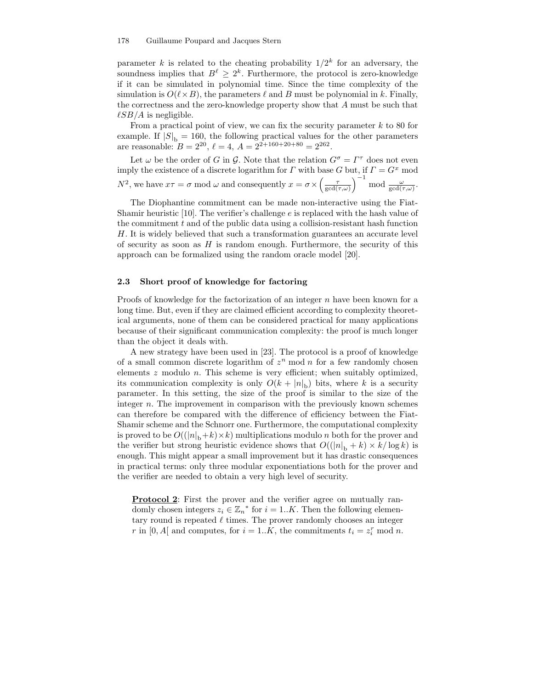#### 178 Guillaume Poupard and Jacques Stern

parameter k is related to the cheating probability  $1/2^k$  for an adversary, the soundness implies that  $B^{\ell} \geq 2^{k}$ . Furthermore, the protocol is zero-knowledge if it can be simulated in polynomial time. Since the time complexity of the simulation is  $O(\ell \times B)$ , the parameters  $\ell$  and B must be polynomial in k. Finally, the correctness and the zero-knowledge property show that  $A$  must be such that  $\ell SB/A$  is negligible.

From a practical point of view, we can fix the security parameter  $k$  to 80 for example. If  $|S|_b = 160$ , the following practical values for the other parameters are reasonable:  $B = 2^{20}$ ,  $\ell = 4$ ,  $A = 2^{2+160+20+80} = 2^{262}$ .

Let  $\omega$  be the order of G in G. Note that the relation  $G^{\sigma} = \Gamma^{\tau}$  does not even imply the existence of a discrete logarithm for  $\Gamma$  with base G but, if  $\Gamma = G^x$  mod  $N^2$ , we have  $x\tau = \sigma$  mod  $\omega$  and consequently  $x = \sigma \times \left(\frac{\tau}{\gcd(\tau,\omega)}\right)$  $\int^{-1}$  mod  $\frac{\omega}{\gcd(\tau,\omega)}$ .

The Diophantine commitment can be made non-interactive using the Fiat-Shamir heuristic [10]. The verifier's challenge  $e$  is replaced with the hash value of the commitment  $t$  and of the public data using a collision-resistant hash function H. It is widely believed that such a transformation guarantees an accurate level of security as soon as  $H$  is random enough. Furthermore, the security of this approach can be formalized using the random oracle model [20].

### 2.3 Short proof of knowledge for factoring

Proofs of knowledge for the factorization of an integer  $n$  have been known for a long time. But, even if they are claimed efficient according to complexity theoretical arguments, none of them can be considered practical for many applications because of their significant communication complexity: the proof is much longer than the object it deals with.

A new strategy have been used in [23]. The protocol is a proof of knowledge of a small common discrete logarithm of  $z<sup>n</sup>$  mod n for a few randomly chosen elements  $z$  modulo  $n$ . This scheme is very efficient; when suitably optimized, its communication complexity is only  $O(k + |n|_b)$  bits, where k is a security parameter. In this setting, the size of the proof is similar to the size of the integer  $n$ . The improvement in comparison with the previously known schemes can therefore be compared with the difference of efficiency between the Fiat-Shamir scheme and the Schnorr one. Furthermore, the computational complexity is proved to be  $O((|n|_b+k)\times k)$  multiplications modulo n both for the prover and the verifier but strong heuristic evidence shows that  $O((|n|_b + k) \times k/\log k)$  is enough. This might appear a small improvement but it has drastic consequences in practical terms: only three modular exponentiations both for the prover and the verifier are needed to obtain a very high level of security.

Protocol 2: First the prover and the verifier agree on mutually randomly chosen integers  $z_i \in \mathbb{Z}_n^*$  for  $i = 1..K$ . Then the following elementary round is repeated  $\ell$  times. The prover randomly chooses an integer r in [0, A[ and computes, for  $i = 1..K$ , the commitments  $t_i = z_i^r \mod n$ .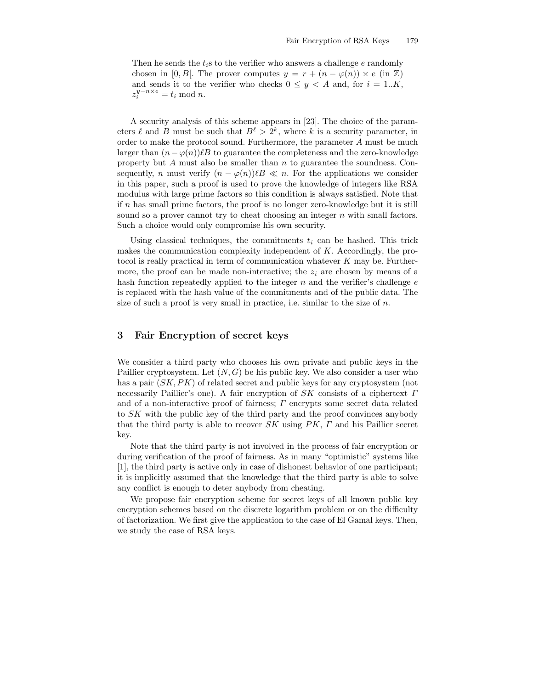Then he sends the  $t_i$ s to the verifier who answers a challenge e randomly chosen in [0, B]. The prover computes  $y = r + (n - \varphi(n)) \times e$  (in  $\mathbb{Z}$ ) and sends it to the verifier who checks  $0 \leq y < A$  and, for  $i = 1..K$ ,  $z_i^{y-n \times e} = t_i \text{ mod } n.$ 

A security analysis of this scheme appears in [23]. The choice of the parameters  $\ell$  and B must be such that  $B^{\ell} > 2^{k}$ , where k is a security parameter, in order to make the protocol sound. Furthermore, the parameter A must be much larger than  $(n - \varphi(n))\ell B$  to guarantee the completeness and the zero-knowledge property but  $A$  must also be smaller than  $n$  to guarantee the soundness. Consequently, n must verify  $(n - \varphi(n))\ell B \ll n$ . For the applications we consider in this paper, such a proof is used to prove the knowledge of integers like RSA modulus with large prime factors so this condition is always satisfied. Note that if  $n$  has small prime factors, the proof is no longer zero-knowledge but it is still sound so a prover cannot try to cheat choosing an integer  $n$  with small factors. Such a choice would only compromise his own security.

Using classical techniques, the commitments  $t_i$  can be hashed. This trick makes the communication complexity independent of K. Accordingly, the protocol is really practical in term of communication whatever K may be. Furthermore, the proof can be made non-interactive; the  $z_i$  are chosen by means of a hash function repeatedly applied to the integer  $n$  and the verifier's challenge  $e$ is replaced with the hash value of the commitments and of the public data. The size of such a proof is very small in practice, i.e. similar to the size of  $n$ .

# 3 Fair Encryption of secret keys

We consider a third party who chooses his own private and public keys in the Paillier cryptosystem. Let  $(N, G)$  be his public key. We also consider a user who has a pair  $(SK, PK)$  of related secret and public keys for any cryptosystem (not necessarily Paillier's one). A fair encryption of  $SK$  consists of a ciphertext  $\Gamma$ and of a non-interactive proof of fairness; Γ encrypts some secret data related to SK with the public key of the third party and the proof convinces anybody that the third party is able to recover  $SK$  using  $PK$ ,  $\Gamma$  and his Paillier secret key.

Note that the third party is not involved in the process of fair encryption or during verification of the proof of fairness. As in many "optimistic" systems like [1], the third party is active only in case of dishonest behavior of one participant; it is implicitly assumed that the knowledge that the third party is able to solve any conflict is enough to deter anybody from cheating.

We propose fair encryption scheme for secret keys of all known public key encryption schemes based on the discrete logarithm problem or on the difficulty of factorization. We first give the application to the case of El Gamal keys. Then, we study the case of RSA keys.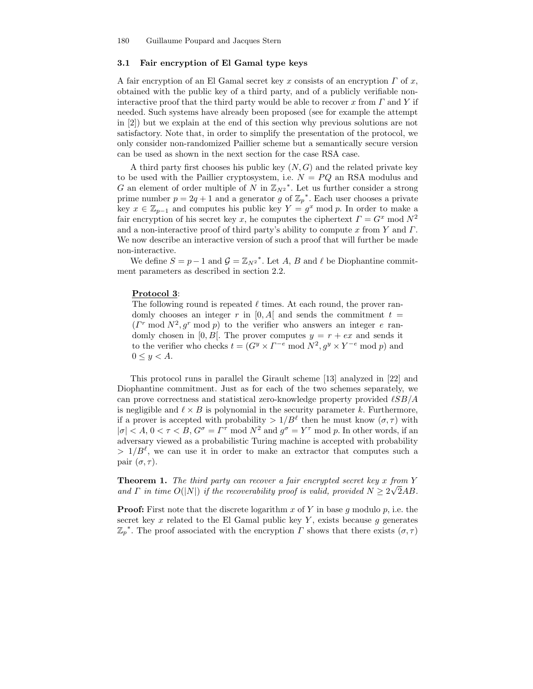### 3.1 Fair encryption of El Gamal type keys

A fair encryption of an El Gamal secret key x consists of an encryption  $\Gamma$  of x, obtained with the public key of a third party, and of a publicly verifiable noninteractive proof that the third party would be able to recover x from  $\Gamma$  and Y if needed. Such systems have already been proposed (see for example the attempt in [2]) but we explain at the end of this section why previous solutions are not satisfactory. Note that, in order to simplify the presentation of the protocol, we only consider non-randomized Paillier scheme but a semantically secure version can be used as shown in the next section for the case RSA case.

A third party first chooses his public key  $(N, G)$  and the related private key to be used with the Paillier cryptosystem, i.e.  $N = PQ$  an RSA modulus and G an element of order multiple of N in  $\mathbb{Z}_{N^2}^*$ . Let us further consider a strong prime number  $p = 2q + 1$  and a generator g of  $\mathbb{Z}_p^*$ . Each user chooses a private key  $x \in \mathbb{Z}_{p-1}$  and computes his public key  $Y = g^x \mod p$ . In order to make a fair encryption of his secret key x, he computes the ciphertext  $\Gamma = G^x \mod N^2$ and a non-interactive proof of third party's ability to compute  $x$  from  $Y$  and  $\Gamma$ . We now describe an interactive version of such a proof that will further be made non-interactive.

We define  $S = p - 1$  and  $\mathcal{G} = \mathbb{Z}_{N^2}^*$ . Let A, B and  $\ell$  be Diophantine commitment parameters as described in section 2.2.

#### Protocol 3:

The following round is repeated  $\ell$  times. At each round, the prover randomly chooses an integer r in  $[0, A]$  and sends the commitment  $t =$  $(T^r \mod N^2, g^r \mod p)$  to the verifier who answers an integer e randomly chosen in [0, B]. The prover computes  $y = r + e^x$  and sends it to the verifier who checks  $t = (G^y \times \Gamma^{-e} \mod N^2, g^y \times Y^{-e} \mod p)$  and  $0 \leq y < A$ .

This protocol runs in parallel the Girault scheme [13] analyzed in [22] and Diophantine commitment. Just as for each of the two schemes separately, we can prove correctness and statistical zero-knowledge property provided  $\ell SB/A$ is negligible and  $\ell \times B$  is polynomial in the security parameter k. Furthermore, if a prover is accepted with probability  $> 1/B^{\ell}$  then he must know  $(\sigma, \tau)$  with  $|\sigma| < A, 0 < \tau < B, G^{\sigma} = \Gamma^{\tau} \mod N^2$  and  $g^{\sigma} = Y^{\tau} \mod p$ . In other words, if an adversary viewed as a probabilistic Turing machine is accepted with probability  $> 1/B^{\ell}$ , we can use it in order to make an extractor that computes such a pair  $(\sigma, \tau)$ .

**Theorem 1.** The third party can recover a fair encrypted secret key x from Y and  $\Gamma$  in time  $O(|N|)$  if the recoverability proof is valid, provided  $N \geq 2\sqrt{2}AB$ .

**Proof:** First note that the discrete logarithm x of Y in base q modulo p, i.e. the secret key x related to the El Gamal public key Y, exists because g generates  $\mathbb{Z}_p^*$ . The proof associated with the encryption  $\Gamma$  shows that there exists  $(\sigma, \tau)$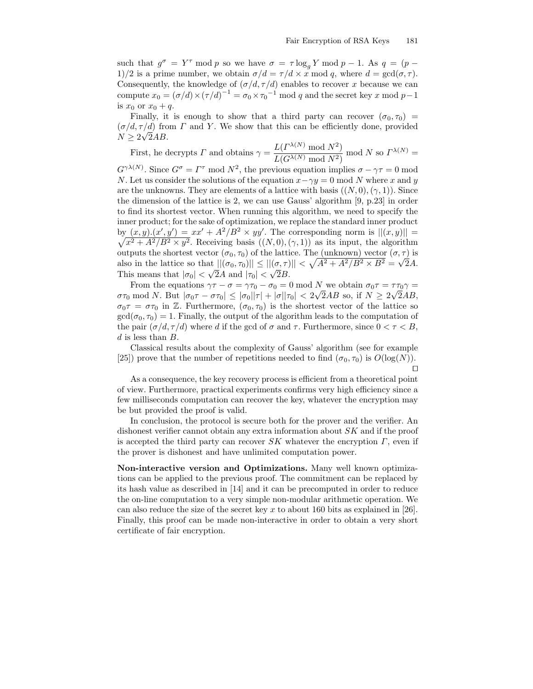such that  $g^{\sigma} = Y^{\tau} \mod p$  so we have  $\sigma = \tau \log_{g} Y \mod p - 1$ . As  $q = (p - \tau)$ 1)/2 is a prime number, we obtain  $\sigma/d = \tau/d \times x \mod q$ , where  $d = \gcd(\sigma, \tau)$ . Consequently, the knowledge of  $(\sigma/d, \tau/d)$  enables to recover x because we can compute  $x_0 = (\sigma/d) \times (\tau/d)^{-1} = \sigma_0 \times \tau_0^{-1} \text{ mod } q$  and the secret key x mod  $p-1$ is  $x_0$  or  $x_0 + q$ .

Finally, it is enough to show that a third party can recover  $(\sigma_0, \tau_0)$  =  $(\sigma/d, \tau/d)$  from  $\Gamma$  and Y. We show that this can be efficiently done, provided  $N \geq 2\sqrt{2}AB$ .

First, he decrypts 
$$
\Gamma
$$
 and obtains  $\gamma = \frac{L(\Gamma^{\lambda(N)} \mod N^2)}{L(G^{\lambda(N)} \mod N^2)}$  mod N so  $\Gamma^{\lambda(N)} =$ 

 $G^{\gamma\lambda(N)}$ . Since  $G^{\sigma} = \Gamma^{\tau}$  mod  $N^2$ , the previous equation implies  $\sigma - \gamma \tau = 0$  mod N. Let us consider the solutions of the equation  $x - \gamma y = 0 \text{ mod } N$  where x and y are the unknowns. They are elements of a lattice with basis  $((N,0),(\gamma,1))$ . Since the dimension of the lattice is 2, we can use Gauss' algorithm [9, p.23] in order to find its shortest vector. When running this algorithm, we need to specify the inner product; for the sake of optimization, we replace the standard inner product by  $(x, y) \cdot (x', y') = xx' + A^2/B^2 \times yy'$ . The corresponding norm is  $||(x, y)|| = \sqrt{x^2 + A^2/B^2 \times y^2}$ . Beceiving basis  $((N, 0) \ (\gamma, 1))$  as its input the algorithm  $x^2 + A^2/B^2 \times y^2$ . Receiving basis  $((N,0),(\gamma,1))$  as its input, the algorithm outputs the shortest vector  $(\sigma_0, \tau_0)$  of the lattice. The (unknown) vector  $(\sigma, \tau)$  is also in the lattice so that  $||( \sigma_0, \tau_0)|| \leq ||(\sigma_1 \tau)|| < \sqrt{A^2 + A^2/B^2 \times B^2} = \sqrt{2A}$ . This means that  $|\sigma_0| < \sqrt{2}A$  and  $|\tau_0| < \sqrt{2}B$ .

From the equations  $\gamma \tau - \sigma = \gamma \tau_0 - \sigma_0 = 0$  mod N we obtain  $\sigma_0 \tau = \tau \tau_0 \gamma =$  $\sigma\tau_0$  mod N. But  $|\sigma_0\tau - \sigma\tau_0|$  ≤  $|\sigma_0||\tau| + |\sigma||\tau_0|$  < 2 $\sqrt{2}AB$  so, if  $N \ge 2\sqrt{2}AB$ ,  $\sigma_0 \tau = \sigma \tau_0$  in Z. Furthermore,  $(\sigma_0, \tau_0)$  is the shortest vector of the lattice so  $gcd(\sigma_0, \tau_0) = 1$ . Finally, the output of the algorithm leads to the computation of the pair  $(\sigma/d, \tau/d)$  where d if the gcd of  $\sigma$  and  $\tau$ . Furthermore, since  $0 < \tau < B$ ,  $d$  is less than  $B$ .

Classical results about the complexity of Gauss' algorithm (see for example [25]) prove that the number of repetitions needed to find  $(\sigma_0, \tau_0)$  is  $O(\log(N))$ .  $\Box$ 

As a consequence, the key recovery process is efficient from a theoretical point of view. Furthermore, practical experiments confirms very high efficiency since a few milliseconds computation can recover the key, whatever the encryption may be but provided the proof is valid.

In conclusion, the protocol is secure both for the prover and the verifier. An dishonest verifier cannot obtain any extra information about SK and if the proof is accepted the third party can recover  $SK$  whatever the encryption  $\Gamma$ , even if the prover is dishonest and have unlimited computation power.

Non-interactive version and Optimizations. Many well known optimizations can be applied to the previous proof. The commitment can be replaced by its hash value as described in [14] and it can be precomputed in order to reduce the on-line computation to a very simple non-modular arithmetic operation. We can also reduce the size of the secret key x to about 160 bits as explained in [26]. Finally, this proof can be made non-interactive in order to obtain a very short certificate of fair encryption.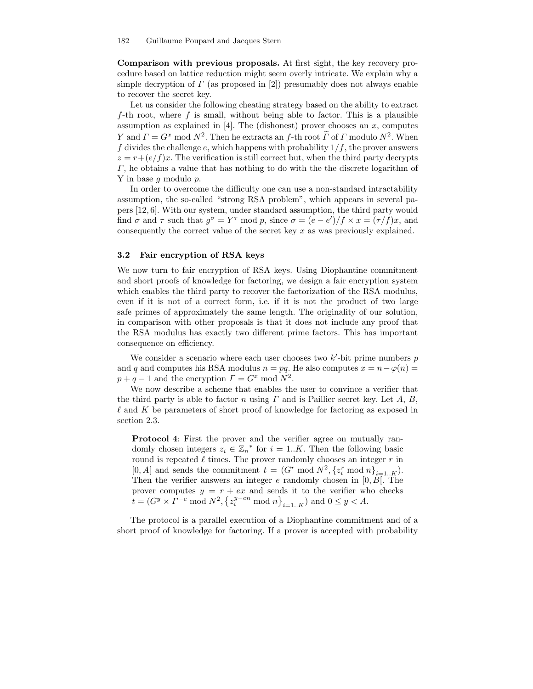Comparison with previous proposals. At first sight, the key recovery procedure based on lattice reduction might seem overly intricate. We explain why a simple decryption of  $\Gamma$  (as proposed in [2]) presumably does not always enable to recover the secret key.

Let us consider the following cheating strategy based on the ability to extract  $f$ -th root, where  $f$  is small, without being able to factor. This is a plausible assumption as explained in [4]. The (dishonest) prover chooses an  $x$ , computes Y and  $\Gamma = G^x \mod N^2$ . Then he extracts an f-th root  $\Gamma$  of  $\Gamma$  modulo  $N^2$ . When f divides the challenge e, which happens with probability  $1/f$ , the prover answers  $z = r + (e/f)x$ . The verification is still correct but, when the third party decrypts  $\Gamma$ , he obtains a value that has nothing to do with the the discrete logarithm of Y in base g modulo p.

In order to overcome the difficulty one can use a non-standard intractability assumption, the so-called "strong RSA problem", which appears in several papers [12, 6]. With our system, under standard assumption, the third party would find  $\sigma$  and  $\tau$  such that  $g^{\sigma} = Y^{\tau}$  mod p, since  $\sigma = (e - e')/f \times x = (\tau/f)x$ , and consequently the correct value of the secret key  $x$  as was previously explained.

### 3.2 Fair encryption of RSA keys

We now turn to fair encryption of RSA keys. Using Diophantine commitment and short proofs of knowledge for factoring, we design a fair encryption system which enables the third party to recover the factorization of the RSA modulus, even if it is not of a correct form, i.e. if it is not the product of two large safe primes of approximately the same length. The originality of our solution, in comparison with other proposals is that it does not include any proof that the RSA modulus has exactly two different prime factors. This has important consequence on efficiency.

We consider a scenario where each user chooses two  $k'$ -bit prime numbers  $p$ and q and computes his RSA modulus  $n = pq$ . He also computes  $x = n - \varphi(n) =$  $p + q - 1$  and the encryption  $\Gamma = G^x \mod N^2$ .

We now describe a scheme that enables the user to convince a verifier that the third party is able to factor n using  $\Gamma$  and is Paillier secret key. Let A, B,  $\ell$  and K be parameters of short proof of knowledge for factoring as exposed in section 2.3.

**Protocol 4:** First the prover and the verifier agree on mutually randomly chosen integers  $z_i \in \mathbb{Z}_n^*$  for  $i = 1..K$ . Then the following basic round is repeated  $\ell$  times. The prover randomly chooses an integer  $r$  in [0, A[ and sends the commitment  $t = (G^r \mod N^2, \{z_i^r \mod n\}_{i=1...K})$ . Then the verifier answers an integer  $e$  randomly chosen in [0,  $B$ ]. The prover computes  $y = r + e^x$  and sends it to the verifier who checks  $\overline{t} = (G^y \times \overline{\Gamma}^{-e} \mod N^2, \{z_i^{y-en} \mod n\}_{i=1..K})$  and  $0 \le y < A$ .

The protocol is a parallel execution of a Diophantine commitment and of a short proof of knowledge for factoring. If a prover is accepted with probability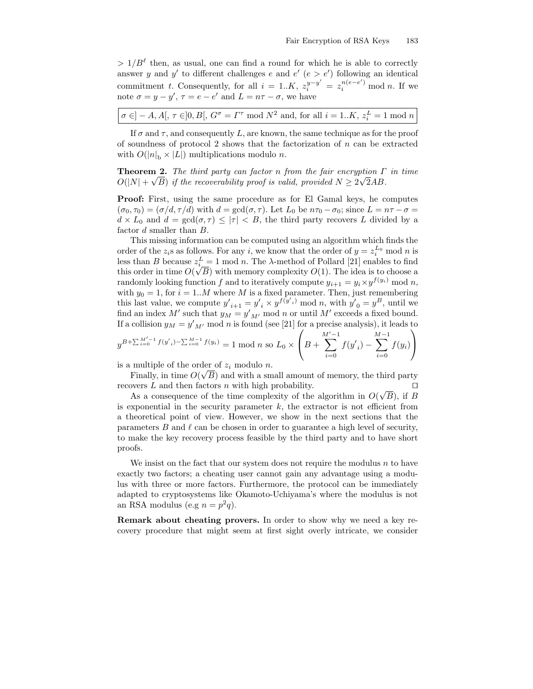$> 1/B^{\ell}$  then, as usual, one can find a round for which he is able to correctly answer y and y' to different challenges e and  $e'$  ( $e > e'$ ) following an identical commitment t. Consequently, for all  $i = 1..K$ ,  $z_i^{y-y'} = z_i^{n(e-e')} \mod n$ . If we note  $\sigma = y - y'$ ,  $\tau = e - e'$  and  $L = n\tau - \sigma$ , we have

$$
\sigma \in ]-A,A[,\,\tau \in ]0,B[,\,G^\sigma=\varGamma^\tau \bmod N^2
$$
 and, for all  $i=1..K,\,z_i^L=1 \bmod n$ 

If  $\sigma$  and  $\tau$ , and consequently L, are known, the same technique as for the proof of soundness of protocol 2 shows that the factorization of  $n$  can be extracted with  $O(|n|_p \times |L|)$  multiplications modulo n.

**Theorem 2.** The third party can factor n from the fair encryption  $\Gamma$  in time  $O(|N| + \sqrt{B})$  if the recoverability proof is valid, provided  $N \ge 2\sqrt{2}AB$ .

Proof: First, using the same procedure as for El Gamal keys, he computes  $(\sigma_0, \tau_0) = (\sigma/d, \tau/d)$  with  $d = \gcd(\sigma, \tau)$ . Let  $L_0$  be  $n\tau_0 - \sigma_0$ ; since  $L = n\tau - \sigma =$  $d \times L_0$  and  $d = \gcd(\sigma, \tau) \leq |\tau| < B$ , the third party recovers L divided by a factor d smaller than B.

This missing information can be computed using an algorithm which finds the order of the  $z_i$ s as follows. For any i, we know that the order of  $y = z_i^{L_0} \mod n$  is less than B because  $z_i^L = 1 \mod n$ . The  $\lambda$ -method of Pollard [21] enables to find this order in time  $O(\sqrt{B})$  with memory complexity  $O(1)$ . The idea is to choose a randomly looking function f and to iteratively compute  $y_{i+1} = y_i \times y^{f(y_i)}$  mod n, with  $y_0 = 1$ , for  $i = 1..M$  where M is a fixed parameter. Then, just remembering this last value, we compute  $y'_{i+1} = y'_{i} \times y^{f(y'_{i})} \mod n$ , with  $y'_{0} = y^{B}$ , until we find an index  $M'$  such that  $y_M = y'_{M'}$  mod n or until  $M'$  exceeds a fixed bound. If a collision  $y_M = y'_{M'}$  mod *n* is found (see [21] for a precise analysis), it leads to

$$
y^{B+\sum_{i=0}^{M'-1}f(y'_{i})-\sum_{i=0}^{M-1}f(y_{i})}=1 \text{ mod } n \text{ so } L_{0}\times\left(B+\sum_{i=0}^{M'-1}f(y'_{i})-\sum_{i=0}^{M-1}f(y_{i})\right)
$$

is a multiple of the order of  $z_i$  modulo n.

Finally, in time  $O(\sqrt{B})$  and with a small amount of memory, the third party recovers L and then factors n with high probability.  $\square$ 

As a consequence of the time complexity of the algorithm in  $O(\sqrt{B})$ , if B is exponential in the security parameter  $k$ , the extractor is not efficient from a theoretical point of view. However, we show in the next sections that the parameters  $B$  and  $\ell$  can be chosen in order to guarantee a high level of security, to make the key recovery process feasible by the third party and to have short proofs.

We insist on the fact that our system does not require the modulus  $n$  to have exactly two factors; a cheating user cannot gain any advantage using a modulus with three or more factors. Furthermore, the protocol can be immediately adapted to cryptosystems like Okamoto-Uchiyama's where the modulus is not an RSA modulus (e.g  $n = p^2 q$ ).

Remark about cheating provers. In order to show why we need a key recovery procedure that might seem at first sight overly intricate, we consider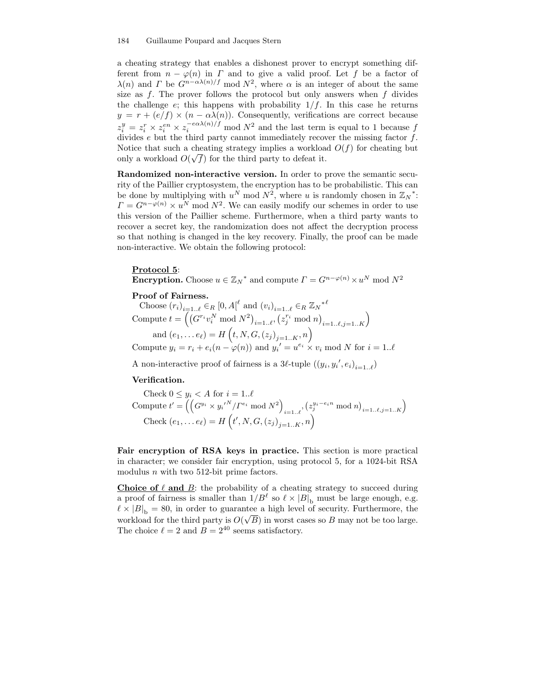#### 184 Guillaume Poupard and Jacques Stern

a cheating strategy that enables a dishonest prover to encrypt something different from  $n - \varphi(n)$  in  $\Gamma$  and to give a valid proof. Let f be a factor of  $\lambda(n)$  and  $\Gamma$  be  $G^{n-\alpha\lambda(n)/f}$  mod  $N^2$ , where  $\alpha$  is an integer of about the same size as  $f$ . The prover follows the protocol but only answers when  $f$  divides the challenge  $e$ ; this happens with probability  $1/f$ . In this case he returns  $y = r + (e/f) \times (n - \alpha\lambda(n))$ . Consequently, verifications are correct because  $z_i^y = z_i^r \times z_i^{en} \times z_i^{-e\alpha \lambda(n)/f}$  mod  $N^2$  and the last term is equal to 1 because f divides e but the third party cannot immediately recover the missing factor f. Notice that such a cheating strategy implies a workload  $O(f)$  for cheating but only a workload  $O(\sqrt{f})$  for the third party to defeat it.

Randomized non-interactive version. In order to prove the semantic security of the Paillier cryptosystem, the encryption has to be probabilistic. This can be done by multiplying with  $u^N \mod N^2$ , where u is randomly chosen in  $\mathbb{Z}_N^*$ :  $\Gamma = G^{n-\varphi(n)} \times u^N \mod N^2$ . We can easily modify our schemes in order to use this version of the Paillier scheme. Furthermore, when a third party wants to recover a secret key, the randomization does not affect the decryption process so that nothing is changed in the key recovery. Finally, the proof can be made non-interactive. We obtain the following protocol:

#### Protocol 5:

**Encryption.** Choose  $u \in \mathbb{Z}_N^*$  and compute  $\Gamma = G^{n-\varphi(n)} \times u^N \mod N^2$ 

### Proof of Fairness.

Choose  $(r_i)_{i=1\ldots\ell} \in_R [0, A]^{\ell}$  and  $(v_i)_{i=1\ldots\ell} \in_R \mathbb{Z}_N^{*^{\ell}}$ Compute  $t = \left( \left( G^{r_i} v_i^N \mod N^2 \right)_{i=1..\ell}, \left( z_j^{r_i} \mod n \right)_{i=1..\ell, j=1..\ell} \right)$ and  $(e_1, \ldots e_{\ell}) = H\left(t, N, G, (z_j)_{j=1..K}, n\right)$ Compute  $y_i = r_i + e_i(n - \varphi(n))$  and  $y_i' = u^{e_i} \times v_i \mod N$  for  $i = 1..\ell$ 

A non-interactive proof of fairness is a 3 $\ell$ -tuple  $((y_i, y_i', e_i)_{i=1 \ldots \ell})$ 

#### Verification.

Check 
$$
0 \leq y_i < A
$$
 for  $i = 1..\ell$  Compute  $t' = \left( \left( G^{y_i} \times y_i^{\prime N} / T^{e_i} \mod N^2 \right)_{i=1..\ell}, \left( z_j^{y_i - e_i n} \mod n \right)_{i=1..\ell, j=1..\ell} \right)$  Check  $(e_1, \ldots e_\ell) = H\left( t', N, G, \left( z_j \right)_{j=1..\ell, n} \right)$ 

Fair encryption of RSA keys in practice. This section is more practical in character; we consider fair encryption, using protocol 5, for a 1024-bit RSA modulus *n* with two 512-bit prime factors.

Choice of  $\ell$  and  $\bar{B}$ : the probability of a cheating strategy to succeed during a proof of fairness is smaller than  $1/B^{\ell}$  so  $\ell \times |B|_b$  must be large enough, e.g.  $\ell \times |B|_b = 80$ , in order to guarantee a high level of security. Furthermore, the workload for the third party is  $O(\sqrt{B})$  in worst cases so B may not be too large. The choice  $\ell = 2$  and  $B = 2^{40}$  seems satisfactory.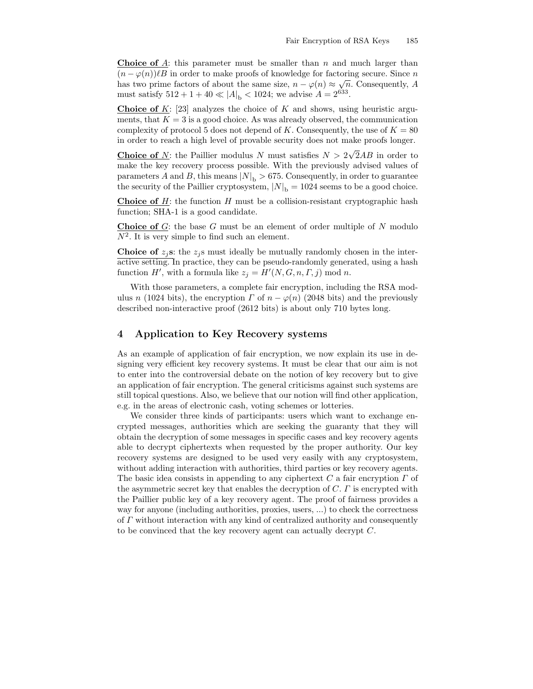Choice of A: this parameter must be smaller than  $n$  and much larger than  $(n - \varphi(n))\ell B$  in order to make proofs of knowledge for factoring secure. Since n has two prime factors of about the same size,  $n - \varphi(n) \approx \sqrt{n}$ . Consequently, A must satisfy  $512 + 1 + 40 \ll |A|_b < 1024$ ; we advise  $A = 2^{633}$ .

**Choice of K:** [23] analyzes the choice of K and shows, using heuristic arguments, that  $K = 3$  is a good choice. As was already observed, the communication complexity of protocol 5 does not depend of K. Consequently, the use of  $K = 80$ in order to reach a high level of provable security does not make proofs longer.

**Choice of** N: the Paillier modulus N must satisfies  $N > 2\sqrt{2}AB$  in order to make the key recovery process possible. With the previously advised values of parameters A and B, this means  $|N|_b > 675$ . Consequently, in order to guarantee the security of the Paillier cryptosystem,  $|N|_b = 1024$  seems to be a good choice.

**Choice of H**: the function H must be a collision-resistant cryptographic hash function; SHA-1 is a good candidate.

**Choice of**  $G$ : the base  $G$  must be an element of order multiple of  $N$  modulo  $N^2$ . It is very simple to find such an element.

**Choice of**  $z_i$ **s:** the  $z_i$ **s** must ideally be mutually randomly chosen in the interactive setting. In practice, they can be pseudo-randomly generated, using a hash function H', with a formula like  $z_j = H'(N, G, n, \Gamma, j) \text{ mod } n$ .

With those parameters, a complete fair encryption, including the RSA modulus n (1024 bits), the encryption  $\Gamma$  of  $n - \varphi(n)$  (2048 bits) and the previously described non-interactive proof (2612 bits) is about only 710 bytes long.

### 4 Application to Key Recovery systems

As an example of application of fair encryption, we now explain its use in designing very efficient key recovery systems. It must be clear that our aim is not to enter into the controversial debate on the notion of key recovery but to give an application of fair encryption. The general criticisms against such systems are still topical questions. Also, we believe that our notion will find other application, e.g. in the areas of electronic cash, voting schemes or lotteries.

We consider three kinds of participants: users which want to exchange encrypted messages, authorities which are seeking the guaranty that they will obtain the decryption of some messages in specific cases and key recovery agents able to decrypt ciphertexts when requested by the proper authority. Our key recovery systems are designed to be used very easily with any cryptosystem, without adding interaction with authorities, third parties or key recovery agents. The basic idea consists in appending to any ciphertext  $C$  a fair encryption  $\Gamma$  of the asymmetric secret key that enables the decryption of  $C$ .  $\Gamma$  is encrypted with the Paillier public key of a key recovery agent. The proof of fairness provides a way for anyone (including authorities, proxies, users, ...) to check the correctness of Γ without interaction with any kind of centralized authority and consequently to be convinced that the key recovery agent can actually decrypt C.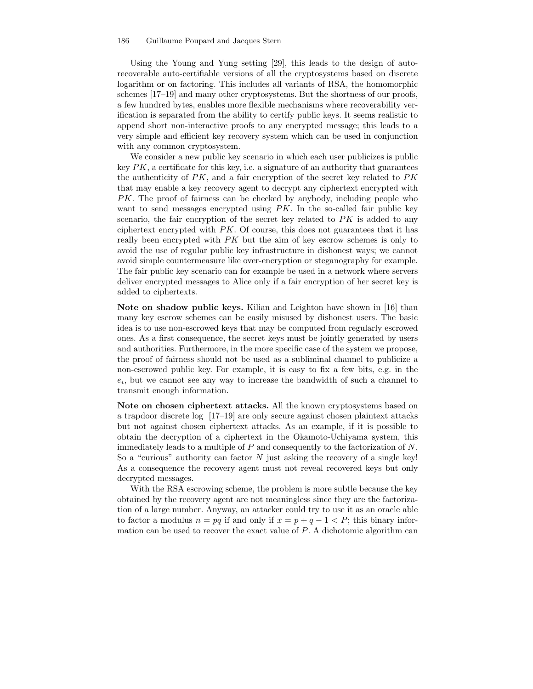#### 186 Guillaume Poupard and Jacques Stern

Using the Young and Yung setting [29], this leads to the design of autorecoverable auto-certifiable versions of all the cryptosystems based on discrete logarithm or on factoring. This includes all variants of RSA, the homomorphic schemes [17–19] and many other cryptosystems. But the shortness of our proofs, a few hundred bytes, enables more flexible mechanisms where recoverability verification is separated from the ability to certify public keys. It seems realistic to append short non-interactive proofs to any encrypted message; this leads to a very simple and efficient key recovery system which can be used in conjunction with any common cryptosystem.

We consider a new public key scenario in which each user publicizes is public key  $PK$ , a certificate for this key, i.e. a signature of an authority that guarantees the authenticity of  $PK$ , and a fair encryption of the secret key related to  $PK$ that may enable a key recovery agent to decrypt any ciphertext encrypted with PK. The proof of fairness can be checked by anybody, including people who want to send messages encrypted using  $PK$ . In the so-called fair public key scenario, the fair encryption of the secret key related to  $PK$  is added to any ciphertext encrypted with PK. Of course, this does not guarantees that it has really been encrypted with PK but the aim of key escrow schemes is only to avoid the use of regular public key infrastructure in dishonest ways; we cannot avoid simple countermeasure like over-encryption or steganography for example. The fair public key scenario can for example be used in a network where servers deliver encrypted messages to Alice only if a fair encryption of her secret key is added to ciphertexts.

Note on shadow public keys. Kilian and Leighton have shown in [16] than many key escrow schemes can be easily misused by dishonest users. The basic idea is to use non-escrowed keys that may be computed from regularly escrowed ones. As a first consequence, the secret keys must be jointly generated by users and authorities. Furthermore, in the more specific case of the system we propose, the proof of fairness should not be used as a subliminal channel to publicize a non-escrowed public key. For example, it is easy to fix a few bits, e.g. in the  $e_i$ , but we cannot see any way to increase the bandwidth of such a channel to transmit enough information.

Note on chosen ciphertext attacks. All the known cryptosystems based on a trapdoor discrete log [17–19] are only secure against chosen plaintext attacks but not against chosen ciphertext attacks. As an example, if it is possible to obtain the decryption of a ciphertext in the Okamoto-Uchiyama system, this immediately leads to a multiple of  $P$  and consequently to the factorization of  $N$ . So a "curious" authority can factor  $N$  just asking the recovery of a single key! As a consequence the recovery agent must not reveal recovered keys but only decrypted messages.

With the RSA escrowing scheme, the problem is more subtle because the key obtained by the recovery agent are not meaningless since they are the factorization of a large number. Anyway, an attacker could try to use it as an oracle able to factor a modulus  $n = pq$  if and only if  $x = p + q - 1 < P$ ; this binary information can be used to recover the exact value of P. A dichotomic algorithm can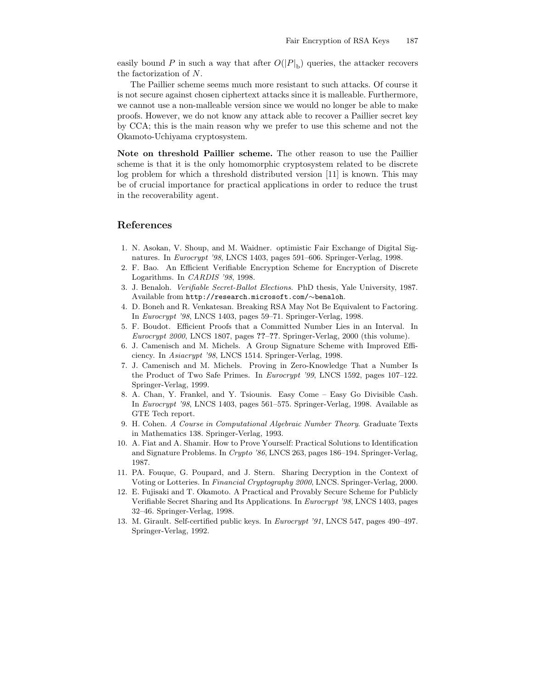easily bound P in such a way that after  $O(|P|_b)$  queries, the attacker recovers the factorization of N.

The Paillier scheme seems much more resistant to such attacks. Of course it is not secure against chosen ciphertext attacks since it is malleable. Furthermore, we cannot use a non-malleable version since we would no longer be able to make proofs. However, we do not know any attack able to recover a Paillier secret key by CCA; this is the main reason why we prefer to use this scheme and not the Okamoto-Uchiyama cryptosystem.

Note on threshold Paillier scheme. The other reason to use the Paillier scheme is that it is the only homomorphic cryptosystem related to be discrete log problem for which a threshold distributed version [11] is known. This may be of crucial importance for practical applications in order to reduce the trust in the recoverability agent.

# References

- 1. N. Asokan, V. Shoup, and M. Waidner. optimistic Fair Exchange of Digital Signatures. In Eurocrypt '98, LNCS 1403, pages 591–606. Springer-Verlag, 1998.
- 2. F. Bao. An Efficient Verifiable Encryption Scheme for Encryption of Discrete Logarithms. In CARDIS '98, 1998.
- 3. J. Benaloh. Verifiable Secret-Ballot Elections. PhD thesis, Yale University, 1987. Available from http://research.microsoft.com/∼benaloh.
- 4. D. Boneh and R. Venkatesan. Breaking RSA May Not Be Equivalent to Factoring. In Eurocrypt '98, LNCS 1403, pages 59–71. Springer-Verlag, 1998.
- 5. F. Boudot. Efficient Proofs that a Committed Number Lies in an Interval. In Eurocrypt 2000, LNCS 1807, pages ??–??. Springer-Verlag, 2000 (this volume).
- 6. J. Camenisch and M. Michels. A Group Signature Scheme with Improved Efficiency. In Asiacrypt '98, LNCS 1514. Springer-Verlag, 1998.
- 7. J. Camenisch and M. Michels. Proving in Zero-Knowledge That a Number Is the Product of Two Safe Primes. In Eurocrypt '99, LNCS 1592, pages 107–122. Springer-Verlag, 1999.
- 8. A. Chan, Y. Frankel, and Y. Tsiounis. Easy Come Easy Go Divisible Cash. In Eurocrypt '98, LNCS 1403, pages 561–575. Springer-Verlag, 1998. Available as GTE Tech report.
- 9. H. Cohen. A Course in Computational Algebraic Number Theory. Graduate Texts in Mathematics 138. Springer-Verlag, 1993.
- 10. A. Fiat and A. Shamir. How to Prove Yourself: Practical Solutions to Identification and Signature Problems. In Crypto '86, LNCS 263, pages 186–194. Springer-Verlag, 1987.
- 11. PA. Fouque, G. Poupard, and J. Stern. Sharing Decryption in the Context of Voting or Lotteries. In Financial Cryptography 2000, LNCS. Springer-Verlag, 2000.
- 12. E. Fujisaki and T. Okamoto. A Practical and Provably Secure Scheme for Publicly Verifiable Secret Sharing and Its Applications. In Eurocrypt '98, LNCS 1403, pages 32–46. Springer-Verlag, 1998.
- 13. M. Girault. Self-certified public keys. In Eurocrypt '91, LNCS 547, pages 490–497. Springer-Verlag, 1992.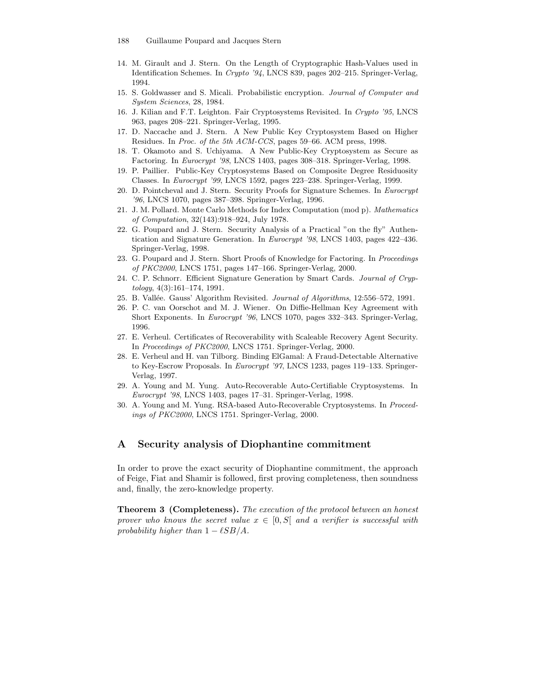- 188 Guillaume Poupard and Jacques Stern
- 14. M. Girault and J. Stern. On the Length of Cryptographic Hash-Values used in Identification Schemes. In Crypto '94, LNCS 839, pages 202–215. Springer-Verlag, 1994.
- 15. S. Goldwasser and S. Micali. Probabilistic encryption. Journal of Computer and System Sciences, 28, 1984.
- 16. J. Kilian and F.T. Leighton. Fair Cryptosystems Revisited. In Crypto '95, LNCS 963, pages 208–221. Springer-Verlag, 1995.
- 17. D. Naccache and J. Stern. A New Public Key Cryptosystem Based on Higher Residues. In Proc. of the 5th ACM-CCS, pages 59–66. ACM press, 1998.
- 18. T. Okamoto and S. Uchiyama. A New Public-Key Cryptosystem as Secure as Factoring. In Eurocrypt '98, LNCS 1403, pages 308–318. Springer-Verlag, 1998.
- 19. P. Paillier. Public-Key Cryptosystems Based on Composite Degree Residuosity Classes. In Eurocrypt '99, LNCS 1592, pages 223–238. Springer-Verlag, 1999.
- 20. D. Pointcheval and J. Stern. Security Proofs for Signature Schemes. In Eurocrypt '96, LNCS 1070, pages 387–398. Springer-Verlag, 1996.
- 21. J. M. Pollard. Monte Carlo Methods for Index Computation (mod p). Mathematics of Computation, 32(143):918–924, July 1978.
- 22. G. Poupard and J. Stern. Security Analysis of a Practical "on the fly" Authentication and Signature Generation. In Eurocrypt '98, LNCS 1403, pages 422–436. Springer-Verlag, 1998.
- 23. G. Poupard and J. Stern. Short Proofs of Knowledge for Factoring. In Proceedings of PKC2000, LNCS 1751, pages 147–166. Springer-Verlag, 2000.
- 24. C. P. Schnorr. Efficient Signature Generation by Smart Cards. Journal of Cryptology, 4(3):161–174, 1991.
- 25. B. Vallée. Gauss' Algorithm Revisited. Journal of Algorithms, 12:556–572, 1991.
- 26. P. C. van Oorschot and M. J. Wiener. On Diffie-Hellman Key Agreement with Short Exponents. In Eurocrypt '96, LNCS 1070, pages 332–343. Springer-Verlag, 1996.
- 27. E. Verheul. Certificates of Recoverability with Scaleable Recovery Agent Security. In Proceedings of PKC2000, LNCS 1751. Springer-Verlag, 2000.
- 28. E. Verheul and H. van Tilborg. Binding ElGamal: A Fraud-Detectable Alternative to Key-Escrow Proposals. In Eurocrypt '97, LNCS 1233, pages 119–133. Springer-Verlag, 1997.
- 29. A. Young and M. Yung. Auto-Recoverable Auto-Certifiable Cryptosystems. In Eurocrypt '98, LNCS 1403, pages 17–31. Springer-Verlag, 1998.
- 30. A. Young and M. Yung. RSA-based Auto-Recoverable Cryptosystems. In Proceedings of PKC2000, LNCS 1751. Springer-Verlag, 2000.

# A Security analysis of Diophantine commitment

In order to prove the exact security of Diophantine commitment, the approach of Feige, Fiat and Shamir is followed, first proving completeness, then soundness and, finally, the zero-knowledge property.

Theorem 3 (Completeness). The execution of the protocol between an honest prover who knows the secret value  $x \in [0, S]$  and a verifier is successful with probability higher than  $1 - \ell SB/A$ .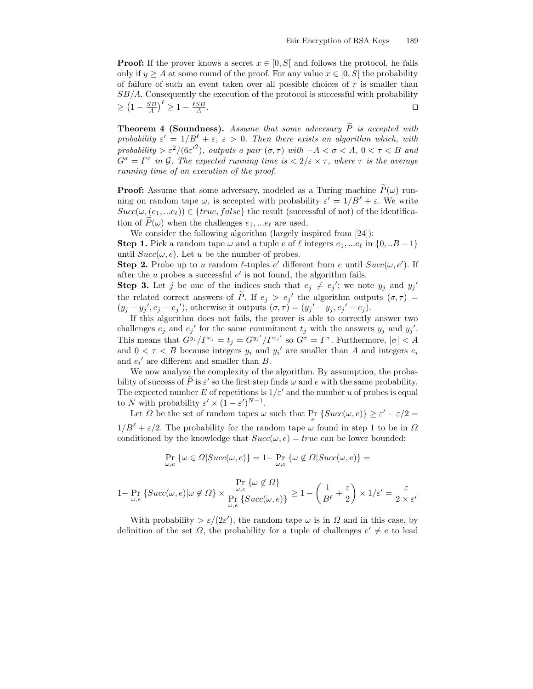**Proof:** If the prover knows a secret  $x \in [0, S]$  and follows the protocol, he fails only if  $y \geq A$  at some round of the proof. For any value  $x \in [0, S]$  the probability of failure of such an event taken over all possible choices of  $r$  is smaller than  $SB/A$ . Consequently the execution of the protocol is successful with probability  $\geq \left(1 - \frac{SB}{A}\right)^{\ell} \geq 1 - \frac{\ell SB}{A}$ . The contract of the contract of the contract of the contract of the contract of the contract of the contract<br>The contract of the contract of the contract of the contract of the contract of the contract of the contract o

**Theorem 4 (Soundness).** Assume that some adversary  $\tilde{P}$  is accepted with probability  $\varepsilon' = 1/B^{\ell} + \varepsilon$ ,  $\varepsilon > 0$ . Then there exists an algorithm which, with probability >  $\varepsilon^2/(6\varepsilon'^2)$ , outputs a pair  $(\sigma, \tau)$  with  $-A < \sigma < A$ ,  $0 < \tau < B$  and  $G^{\sigma} = \Gamma^{\tau}$  in G. The expected running time is  $\langle 2/\varepsilon \times \tau$ , where  $\tau$  is the average running time of an execution of the proof.

**Proof:** Assume that some adversary, modeled as a Turing machine  $\widetilde{P}(\omega)$  running on random tape  $\omega$ , is accepted with probability  $\varepsilon' = 1/B^{\ell} + \varepsilon$ . We write  $Succ(\omega, (e_1, ... e_\ell)) \in \{true, false\}$  the result (successful of not) of the identification of  $P(\omega)$  when the challenges  $e_1, \dots e_\ell$  are used.

We consider the following algorithm (largely inspired from [24]):

**Step 1.** Pick a random tape  $\omega$  and a tuple e of  $\ell$  integers  $e_1, \dots e_{\ell}$  in  $\{0, \dots B - 1\}$ until  $Succ(\omega, e)$ . Let u be the number of probes.

**Step 2.** Probe up to u random  $\ell$ -tuples  $e'$  different from e until  $Succ(\omega, e')$ . If after the  $u$  probes a successful  $e'$  is not found, the algorithm fails.

**Step 3.** Let j be one of the indices such that  $e_j \neq e_j'$ ; we note  $y_j$  and  $y_j'$ the related correct answers of  $\tilde{P}$ . If  $e_j > e_j'$  the algorithm outputs  $(\sigma, \tau)$  =  $(y_j - y_j', e_j - e_j')$ , otherwise it outputs  $(\sigma, \tau) = (y_j' - y_j, e_j' - e_j)$ .

If this algorithm does not fails, the prover is able to correctly answer two challenges  $e_j$  and  $e_j'$  for the same commitment  $t_j$  with the answers  $y_j$  and  $y_j'$ . This means that  $G^{y_j}/\Gamma^{e_j} = t_j = G^{y_j'}/\Gamma^{e_j'}$  so  $G^{\sigma} = \Gamma^{\tau}$ . Furthermore,  $|\sigma| < A$ and  $0 < \tau < B$  because integers  $y_i$  and  $y_i'$  are smaller than A and integers  $e_i$ and  $e_i'$  are different and smaller than B.

We now analyze the complexity of the algorithm. By assumption, the probability of success of  $\tilde{P}$  is  $\varepsilon'$  so the first step finds  $\omega$  and e with the same probability. The expected number E of repetitions is  $1/\varepsilon'$  and the number u of probes is equal to N with probability  $\varepsilon' \times (1 - \varepsilon')^{N-1}$ .

Let  $\Omega$  be the set of random tapes  $\omega$  such that  $\Pr_e \{ Succ(\omega, e) \} \ge \varepsilon' - \varepsilon/2 =$  $1/B^{\ell} + \varepsilon/2$ . The probability for the random tape  $\omega$  found in step 1 to be in  $\Omega$ conditioned by the knowledge that  $Succ(\omega, e) = true$  can be lower bounded:

$$
\Pr_{\omega,e} \{ \omega \in \Omega | Succ(\omega,e) \} = 1 - \Pr_{\omega,e} \{ \omega \notin \Omega | Succ(\omega,e) \} =
$$

$$
1 - \Pr_{\omega, e} \{ Succ(\omega, e) | \omega \notin \Omega \} \times \frac{\Pr_{\omega, e} \{ \omega \notin \Omega \}}{\Pr_{\omega, e} \{ Succ(\omega, e) \}} \ge 1 - \left( \frac{1}{B^{\ell}} + \frac{\varepsilon}{2} \right) \times 1/\varepsilon' = \frac{\varepsilon}{2 \times \varepsilon'}
$$

With probability  $>\varepsilon/(2\varepsilon')$ , the random tape  $\omega$  is in  $\Omega$  and in this case, by definition of the set  $\Omega$ , the probability for a tuple of challenges  $e' \neq e$  to lead